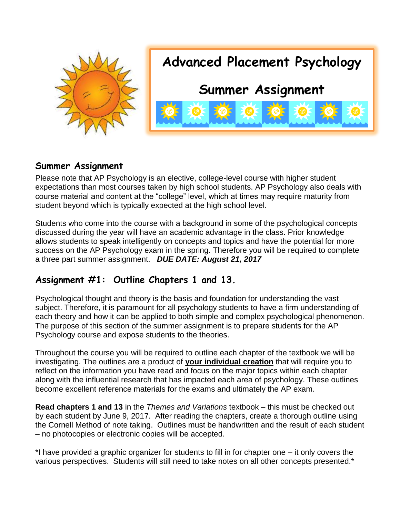

#### **Summer Assignment**

Please note that AP Psychology is an elective, college-level course with higher student expectations than most courses taken by high school students. AP Psychology also deals with course material and content at the "college" level, which at times may require maturity from student beyond which is typically expected at the high school level.

Students who come into the course with a background in some of the psychological concepts discussed during the year will have an academic advantage in the class. Prior knowledge allows students to speak intelligently on concepts and topics and have the potential for more success on the AP Psychology exam in the spring. Therefore you will be required to complete a three part summer assignment. *DUE DATE: August 21, 2017*

## **Assignment #1: Outline Chapters 1 and 13***.*

Psychological thought and theory is the basis and foundation for understanding the vast subject. Therefore, it is paramount for all psychology students to have a firm understanding of each theory and how it can be applied to both simple and complex psychological phenomenon. The purpose of this section of the summer assignment is to prepare students for the AP Psychology course and expose students to the theories.

Throughout the course you will be required to outline each chapter of the textbook we will be investigating. The outlines are a product of **your individual creation** that will require you to reflect on the information you have read and focus on the major topics within each chapter along with the influential research that has impacted each area of psychology. These outlines become excellent reference materials for the exams and ultimately the AP exam.

**Read chapters 1 and 13** in the *Themes and Variations* textbook – this must be checked out by each student by June 9, 2017.After reading the chapters, create a thorough outline using the Cornell Method of note taking. Outlines must be handwritten and the result of each student – no photocopies or electronic copies will be accepted.

\*I have provided a graphic organizer for students to fill in for chapter one – it only covers the various perspectives. Students will still need to take notes on all other concepts presented.\*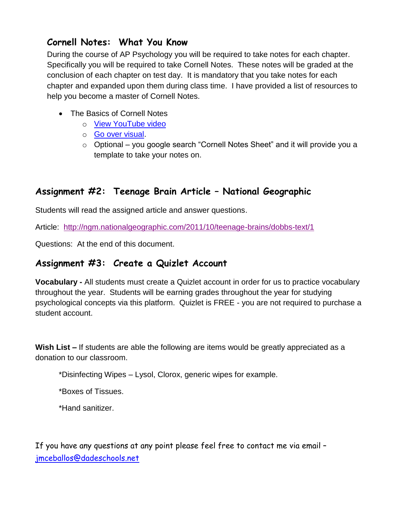#### **Cornell Notes: What You Know**

During the course of AP Psychology you will be required to take notes for each chapter. Specifically you will be required to take Cornell Notes. These notes will be graded at the conclusion of each chapter on test day. It is mandatory that you take notes for each chapter and expanded upon them during class time. I have provided a list of resources to help you become a master of Cornell Notes.

- The Basics of Cornell Notes
	- o [View YouTube video](https://www.youtube.com/watch?v=WtW9IyE04OQ)
	- o [Go over visual.](http://lsc.cornell.edu/LSC_Resources/cornellsystem.pdf)
	- o Optional you google search "Cornell Notes Sheet" and it will provide you a template to take your notes on.

## **Assignment #2: Teenage Brain Article – National Geographic**

Students will read the assigned article and answer questions.

Article: <http://ngm.nationalgeographic.com/2011/10/teenage-brains/dobbs-text/1>

Questions: At the end of this document.

#### **Assignment #3: Create a Quizlet Account**

**Vocabulary -** All students must create a Quizlet account in order for us to practice vocabulary throughout the year. Students will be earning grades throughout the year for studying psychological concepts via this platform. Quizlet is FREE - you are not required to purchase a student account.

**Wish List –** If students are able the following are items would be greatly appreciated as a donation to our classroom.

\*Disinfecting Wipes – Lysol, Clorox, generic wipes for example.

\*Boxes of Tissues.

\*Hand sanitizer.

If you have any questions at any point please feel free to contact me via email – [jmceballos@dadeschools.net](mailto:jmceballos@dadeschools.net)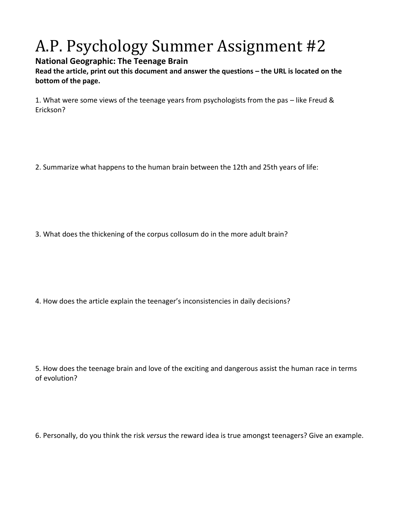# A.P. Psychology Summer Assignment #2

#### **National Geographic: The Teenage Brain**

**Read the article, print out this document and answer the questions – the URL is located on the bottom of the page.** 

1. What were some views of the teenage years from psychologists from the pas – like Freud & Erickson?

2. Summarize what happens to the human brain between the 12th and 25th years of life:

3. What does the thickening of the corpus collosum do in the more adult brain?

4. How does the article explain the teenager's inconsistencies in daily decisions?

5. How does the teenage brain and love of the exciting and dangerous assist the human race in terms of evolution?

6. Personally, do you think the risk *versus* the reward idea is true amongst teenagers? Give an example.